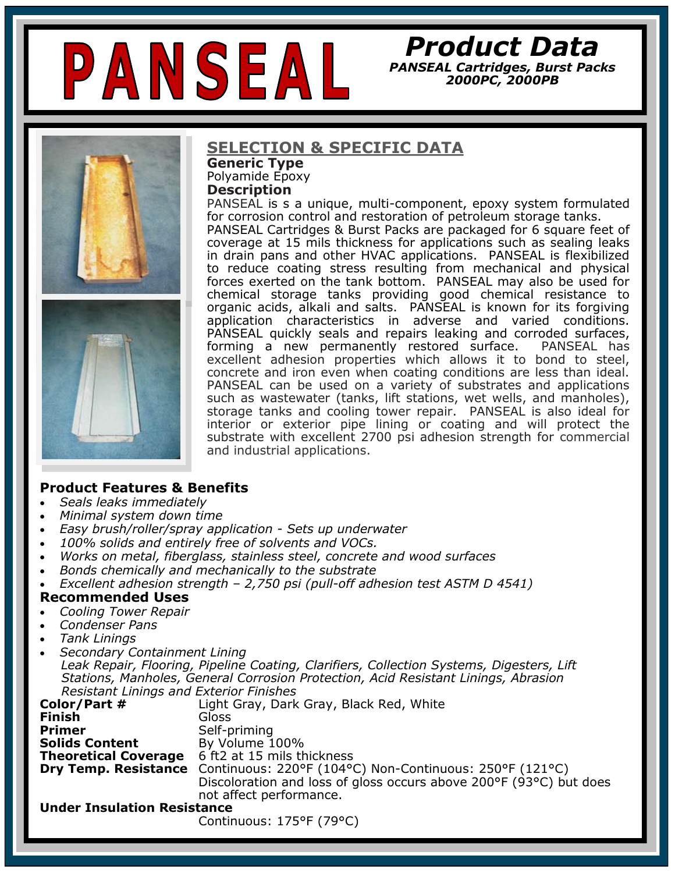

# *Product Data*

*PANSEAL Cartridges, Burst Packs 2000PC, 2000PB* 





## **SELECTION & SPECIFIC DATA**

**Generic Type**  Polyamide Epoxy **Description**

PANSEAL is s a unique, multi-component, epoxy system formulated for corrosion control and restoration of petroleum storage tanks. PANSEAL Cartridges & Burst Packs are packaged for 6 square feet of coverage at 15 mils thickness for applications such as sealing leaks in drain pans and other HVAC applications. PANSEAL is flexibilized to reduce coating stress resulting from mechanical and physical forces exerted on the tank bottom. PANSEAL may also be used for chemical storage tanks providing good chemical resistance to organic acids, alkali and salts. PANSEAL is known for its forgiving application characteristics in adverse and varied conditions. PANSEAL quickly seals and repairs leaking and corroded surfaces, forming a new permanently restored surface. PANSEAL has excellent adhesion properties which allows it to bond to steel, concrete and iron even when coating conditions are less than ideal. PANSEAL can be used on a variety of substrates and applications such as wastewater (tanks, lift stations, wet wells, and manholes), storage tanks and cooling tower repair. PANSEAL is also ideal for interior or exterior pipe lining or coating and will protect the substrate with excellent 2700 psi adhesion strength for commercial and industrial applications.

### **Product Features & Benefits**

- *Seals leaks immediately*
- *Minimal system down time*
- *Easy brush/roller/spray application - Sets up underwater*
- *100% solids and entirely free of solvents and VOCs.*
- *Works on metal, fiberglass, stainless steel, concrete and wood surfaces*
- *Bonds chemically and mechanically to the substrate*
- *Excellent adhesion strength – 2,750 psi (pull-off adhesion test ASTM D 4541)*

#### **Recommended Uses**

- *Cooling Tower Repair*
- *Condenser Pans*
- *Tank Linings*
- *Secondary Containment Lining Leak Repair, Flooring, Pipeline Coating, Clarifiers, Collection Systems, Digesters, Lift Stations, Manholes, General Corrosion Protection, Acid Resistant Linings, Abrasion Resistant Linings and Exterior Finishes*

| Color/Part #                       | Light Gray, Dark Gray, Black Red, White                                      |  |  |
|------------------------------------|------------------------------------------------------------------------------|--|--|
| <b>Finish</b>                      | Gloss                                                                        |  |  |
| <b>Primer</b>                      | Self-priming                                                                 |  |  |
| <b>Solids Content</b>              | By Volume 100%                                                               |  |  |
| <b>Theoretical Coverage</b>        | 6 ft2 at 15 mils thickness                                                   |  |  |
|                                    | Dry Temp. Resistance Continuous: 220°F (104°C) Non-Continuous: 250°F (121°C) |  |  |
|                                    | Discoloration and loss of gloss occurs above 200°F (93°C) but does           |  |  |
|                                    | not affect performance.                                                      |  |  |
| <b>Under Insulation Resistance</b> |                                                                              |  |  |
|                                    |                                                                              |  |  |

Continuous: 175°F (79°C)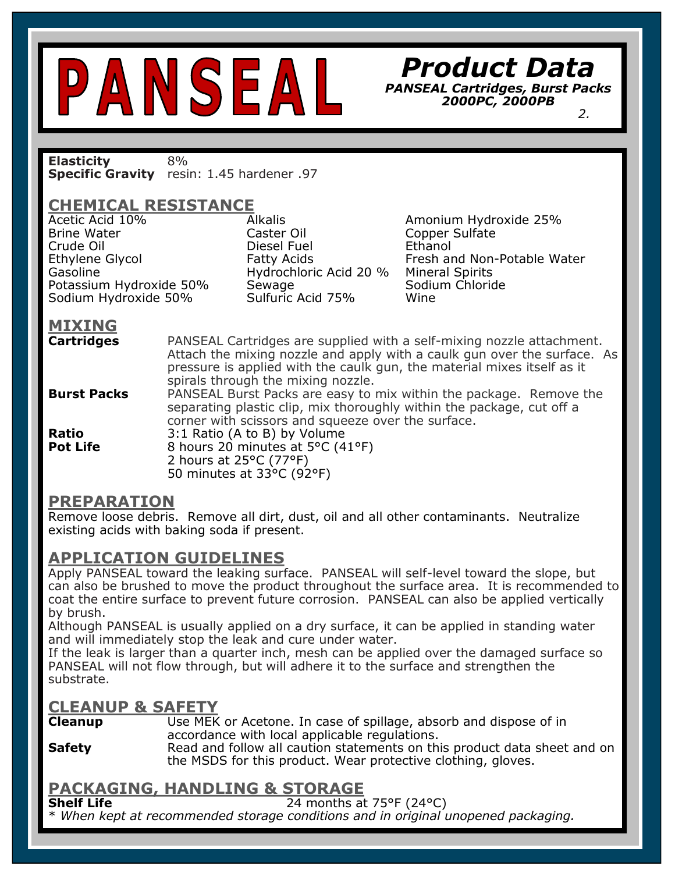*Product Data* 

*PANSEAL Cartridges, Burst Packs 2000PC, 2000PB 2.*

**Elasticity** 8% **Specific Gravity** resin: 1.45 hardener .97

# **CHEMICAL RESISTANCE**

Acetic Acid 10% Alkalis Amonium Hydroxide 25%<br>Rrine Water Caster Oil Conner Sulfate Crude Oil Diesel Fuel Ethanol Potassium Hydroxide 50% Séwage<br>Sodium Hydroxide 50% Sulfuric Acid 75% Sodium Hydroxide 50% Sulfuric Acid 75% Wine

Hydrochloric Acid 20 % Mineral Spirits<br>Sewage Sodium Chloride

Copper Sulfate Ethylene Glycol Fatty Acids Fresh and Non-Potable Water<br>Gasoline Fresh and Non-Potable Water Gasoline

# **MIXING**

**Cartridges** PANSEAL Cartridges are supplied with a self-mixing nozzle attachment. Attach the mixing nozzle and apply with a caulk gun over the surface. As pressure is applied with the caulk gun, the material mixes itself as it spirals through the mixing nozzle. **Burst Packs** PANSEAL Burst Packs are easy to mix within the package. Remove the

separating plastic clip, mix thoroughly within the package, cut off a corner with scissors and squeeze over the surface.

**Ratio** 3:1 Ratio (A to B) by Volume **Pot Life** 8 hours 20 minutes at 5°C (41°F) 2 hours at 25°C (77°F) 50 minutes at 33°C (92°F)

### **PREPARATION**

Remove loose debris. Remove all dirt, dust, oil and all other contaminants. Neutralize<br>existing acids with baking soda if present. existing acids with baking soda if present.

# **APPLICATION GUIDELINES**

**CURE TIME**  $\frac{1}{2}$ Apply PANSEAL toward the leaking surface. PANSEAL will self-level toward the slope, but can also be brushed to move the product throughout the surface area. It is recommended to coat the entire surface to prevent future corrosion. PANSEAL can also be applied vertically by brush.

Although PANSEAL is usually applied on a dry surface, it can be applied in standing water and will immediately stop the leak and cure under water.

If the leak is larger than a quarter inch, mesh can be applied over the damaged surface so PANSEAL will not flow through, but will adhere it to the surface and strengthen the substrate.

## **CLEANUP & SAFETY**

**Cleanup** Use MEK or Acetone. In case of spillage, absorb and dispose of in accordance with local applicable regulations.

**Safety** Read and follow all caution statements on this product data sheet and on the MSDS for this product. Wear protective clothing, gloves.

# **PACKAGING, HANDLING & STORAGE**

**Shelf Life** 24 months at 75°F (24°C)

\* *When kept at recommended storage conditions and in original unopened packaging.*